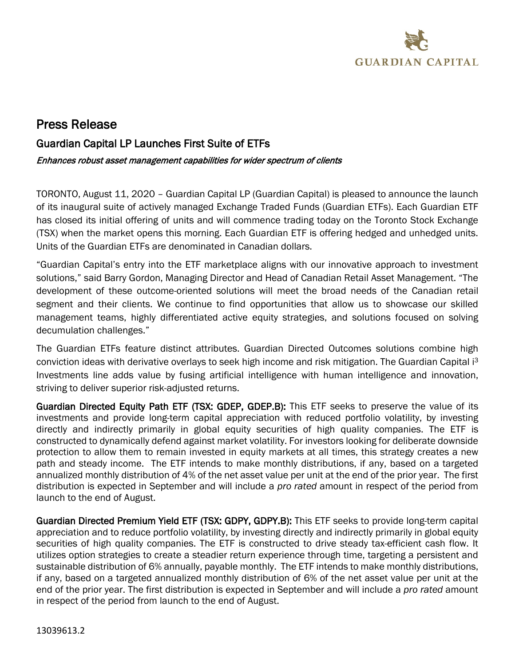

# Press Release

# Guardian Capital LP Launches First Suite of ETFs

#### Enhances robust asset management capabilities for wider spectrum of clients

TORONTO, August 11, 2020 – Guardian Capital LP (Guardian Capital) is pleased to announce the launch of its inaugural suite of actively managed Exchange Traded Funds (Guardian ETFs). Each Guardian ETF has closed its initial offering of units and will commence trading today on the Toronto Stock Exchange (TSX) when the market opens this morning. Each Guardian ETF is offering hedged and unhedged units. Units of the Guardian ETFs are denominated in Canadian dollars.

"Guardian Capital's entry into the ETF marketplace aligns with our innovative approach to investment solutions," said Barry Gordon, Managing Director and Head of Canadian Retail Asset Management. "The development of these outcome-oriented solutions will meet the broad needs of the Canadian retail segment and their clients. We continue to find opportunities that allow us to showcase our skilled management teams, highly differentiated active equity strategies, and solutions focused on solving decumulation challenges."

The Guardian ETFs feature distinct attributes. Guardian Directed Outcomes solutions combine high conviction ideas with derivative overlays to seek high income and risk mitigation. The Guardian Capital i3 Investments line adds value by fusing artificial intelligence with human intelligence and innovation, striving to deliver superior risk-adjusted returns.

Guardian Directed Equity Path ETF (TSX: GDEP, GDEP.B): This ETF seeks to preserve the value of its investments and provide long-term capital appreciation with reduced portfolio volatility, by investing directly and indirectly primarily in global equity securities of high quality companies. The ETF is constructed to dynamically defend against market volatility. For investors looking for deliberate downside protection to allow them to remain invested in equity markets at all times, this strategy creates a new path and steady income. The ETF intends to make monthly distributions, if any, based on a targeted annualized monthly distribution of 4% of the net asset value per unit at the end of the prior year. The first distribution is expected in September and will include a *pro rated* amount in respect of the period from launch to the end of August.

Guardian Directed Premium Yield ETF (TSX: GDPY, GDPY.B): This ETF seeks to provide long-term capital appreciation and to reduce portfolio volatility, by investing directly and indirectly primarily in global equity securities of high quality companies. The ETF is constructed to drive steady tax-efficient cash flow. It utilizes option strategies to create a steadier return experience through time, targeting a persistent and sustainable distribution of 6% annually, payable monthly. The ETF intends to make monthly distributions, if any, based on a targeted annualized monthly distribution of 6% of the net asset value per unit at the end of the prior year. The first distribution is expected in September and will include a *pro rated* amount in respect of the period from launch to the end of August.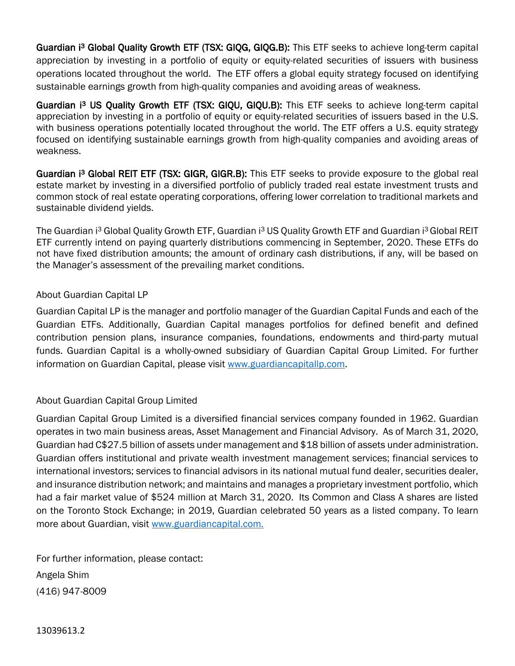Guardian i<sup>3</sup> Global Quality Growth ETF (TSX: GIQG, GIQG.B): This ETF seeks to achieve long-term capital appreciation by investing in a portfolio of equity or equity-related securities of issuers with business operations located throughout the world. The ETF offers a global equity strategy focused on identifying sustainable earnings growth from high-quality companies and avoiding areas of weakness.

Guardian i<sup>3</sup> US Quality Growth ETF (TSX: GIQU, GIQU.B): This ETF seeks to achieve long-term capital appreciation by investing in a portfolio of equity or equity-related securities of issuers based in the U.S. with business operations potentially located throughout the world. The ETF offers a U.S. equity strategy focused on identifying sustainable earnings growth from high-quality companies and avoiding areas of weakness.

Guardian i<sup>3</sup> Global REIT ETF (TSX: GIGR, GIGR.B): This ETF seeks to provide exposure to the global real estate market by investing in a diversified portfolio of publicly traded real estate investment trusts and common stock of real estate operating corporations, offering lower correlation to traditional markets and sustainable dividend yields.

The Guardian i<sup>3</sup> Global Quality Growth ETF, Guardian i<sup>3</sup> US Quality Growth ETF and Guardian i<sup>3</sup> Global REIT ETF currently intend on paying quarterly distributions commencing in September, 2020. These ETFs do not have fixed distribution amounts; the amount of ordinary cash distributions, if any, will be based on the Manager's assessment of the prevailing market conditions.

## About Guardian Capital LP

Guardian Capital LP is the manager and portfolio manager of the Guardian Capital Funds and each of the Guardian ETFs. Additionally, Guardian Capital manages portfolios for defined benefit and defined contribution pension plans, insurance companies, foundations, endowments and third-party mutual funds. Guardian Capital is a wholly-owned subsidiary of Guardian Capital Group Limited. For further information on Guardian Capital, please visit [www.guardiancapitallp.com](http://www.guardiancapitallp.com/).

## About Guardian Capital Group Limited

Guardian Capital Group Limited is a diversified financial services company founded in 1962. Guardian operates in two main business areas, Asset Management and Financial Advisory. As of March 31, 2020, Guardian had C\$27.5 billion of assets under management and \$18 billion of assets under administration. Guardian offers institutional and private wealth investment management services; financial services to international investors; services to financial advisors in its national mutual fund dealer, securities dealer, and insurance distribution network; and maintains and manages a proprietary investment portfolio, which had a fair market value of \$524 million at March 31, 2020. Its Common and Class A shares are listed on the Toronto Stock Exchange; in 2019, Guardian celebrated 50 years as a listed company. To learn more about Guardian, visit [www.guardiancapital.com.](http://www.guardiancapital.com/)

For further information, please contact: Angela Shim (416) 947-8009